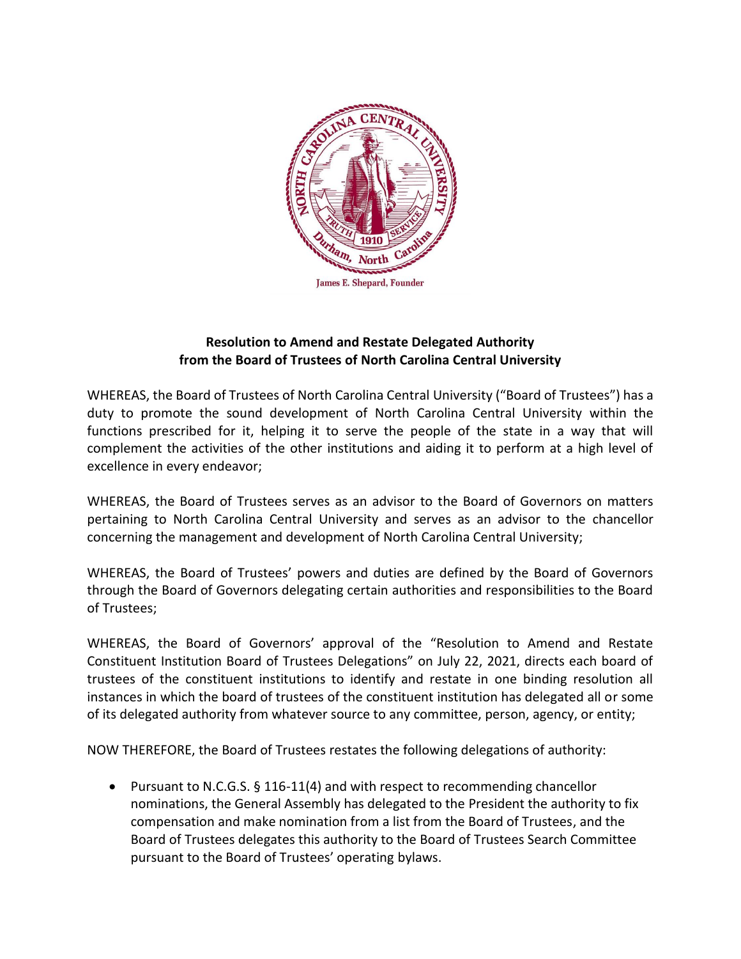

## **Resolution to Amend and Restate Delegated Authority from the Board of Trustees of North Carolina Central University**

WHEREAS, the Board of Trustees of North Carolina Central University ("Board of Trustees") has a duty to promote the sound development of North Carolina Central University within the functions prescribed for it, helping it to serve the people of the state in a way that will complement the activities of the other institutions and aiding it to perform at a high level of excellence in every endeavor;

WHEREAS, the Board of Trustees serves as an advisor to the Board of Governors on matters pertaining to North Carolina Central University and serves as an advisor to the chancellor concerning the management and development of North Carolina Central University;

WHEREAS, the Board of Trustees' powers and duties are defined by the Board of Governors through the Board of Governors delegating certain authorities and responsibilities to the Board of Trustees;

WHEREAS, the Board of Governors' approval of the "Resolution to Amend and Restate Constituent Institution Board of Trustees Delegations" on July 22, 2021, directs each board of trustees of the constituent institutions to identify and restate in one binding resolution all instances in which the board of trustees of the constituent institution has delegated all or some of its delegated authority from whatever source to any committee, person, agency, or entity;

NOW THEREFORE, the Board of Trustees restates the following delegations of authority:

 Pursuant to N.C.G.S. § 116-11(4) and with respect to recommending chancellor nominations, the General Assembly has delegated to the President the authority to fix compensation and make nomination from a list from the Board of Trustees, and the Board of Trustees delegates this authority to the Board of Trustees Search Committee pursuant to the Board of Trustees' operating bylaws.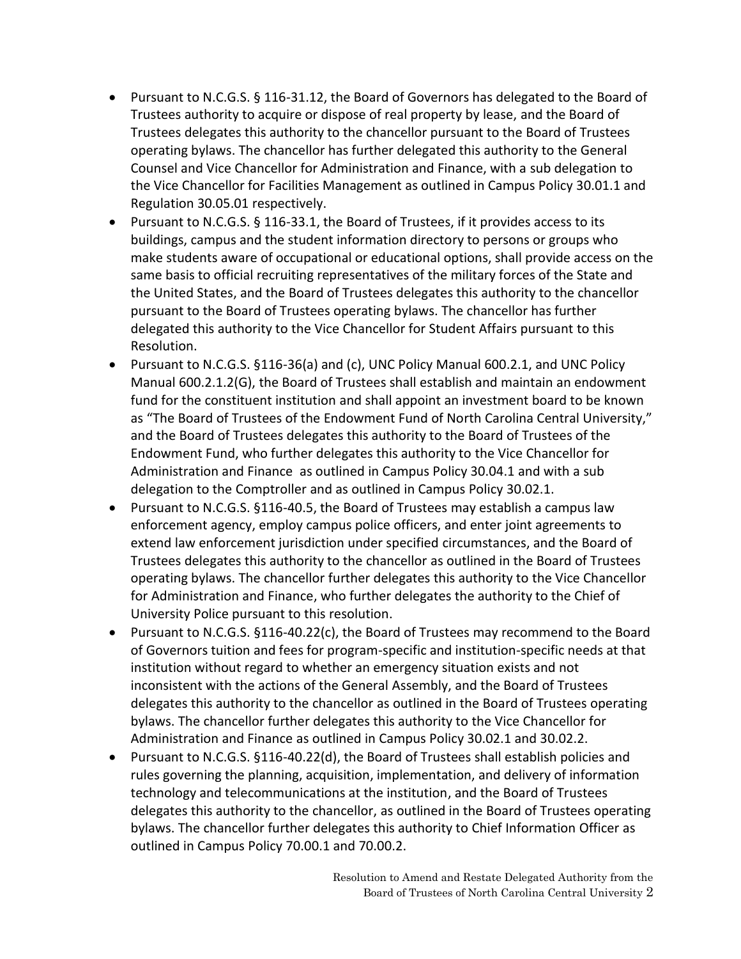- Pursuant to N.C.G.S. § 116-31.12, the Board of Governors has delegated to the Board of Trustees authority to acquire or dispose of real property by lease, and the Board of Trustees delegates this authority to the chancellor pursuant to the Board of Trustees operating bylaws. The chancellor has further delegated this authority to the General Counsel and Vice Chancellor for Administration and Finance, with a sub delegation to the Vice Chancellor for Facilities Management as outlined in Campus Policy 30.01.1 and Regulation 30.05.01 respectively.
- Pursuant to N.C.G.S. § 116-33.1, the Board of Trustees, if it provides access to its buildings, campus and the student information directory to persons or groups who make students aware of occupational or educational options, shall provide access on the same basis to official recruiting representatives of the military forces of the State and the United States, and the Board of Trustees delegates this authority to the chancellor pursuant to the Board of Trustees operating bylaws. The chancellor has further delegated this authority to the Vice Chancellor for Student Affairs pursuant to this Resolution.
- Pursuant to N.C.G.S. §116-36(a) and (c), UNC Policy Manual 600.2.1, and UNC Policy Manual 600.2.1.2(G), the Board of Trustees shall establish and maintain an endowment fund for the constituent institution and shall appoint an investment board to be known as "The Board of Trustees of the Endowment Fund of North Carolina Central University," and the Board of Trustees delegates this authority to the Board of Trustees of the Endowment Fund, who further delegates this authority to the Vice Chancellor for Administration and Finance as outlined in Campus Policy 30.04.1 and with a sub delegation to the Comptroller and as outlined in Campus Policy 30.02.1.
- Pursuant to N.C.G.S. §116-40.5, the Board of Trustees may establish a campus law enforcement agency, employ campus police officers, and enter joint agreements to extend law enforcement jurisdiction under specified circumstances, and the Board of Trustees delegates this authority to the chancellor as outlined in the Board of Trustees operating bylaws. The chancellor further delegates this authority to the Vice Chancellor for Administration and Finance, who further delegates the authority to the Chief of University Police pursuant to this resolution.
- Pursuant to N.C.G.S. §116-40.22(c), the Board of Trustees may recommend to the Board of Governors tuition and fees for program-specific and institution-specific needs at that institution without regard to whether an emergency situation exists and not inconsistent with the actions of the General Assembly, and the Board of Trustees delegates this authority to the chancellor as outlined in the Board of Trustees operating bylaws. The chancellor further delegates this authority to the Vice Chancellor for Administration and Finance as outlined in Campus Policy 30.02.1 and 30.02.2.
- Pursuant to N.C.G.S. §116-40.22(d), the Board of Trustees shall establish policies and rules governing the planning, acquisition, implementation, and delivery of information technology and telecommunications at the institution, and the Board of Trustees delegates this authority to the chancellor, as outlined in the Board of Trustees operating bylaws. The chancellor further delegates this authority to Chief Information Officer as outlined in Campus Policy 70.00.1 and 70.00.2.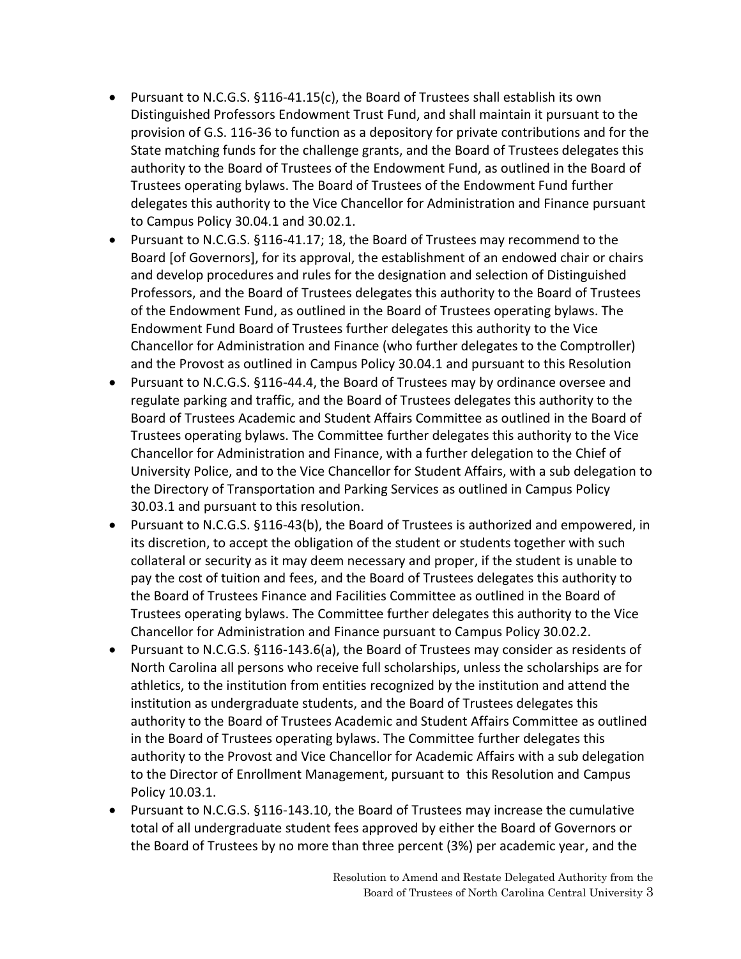- Pursuant to N.C.G.S. §116-41.15(c), the Board of Trustees shall establish its own Distinguished Professors Endowment Trust Fund, and shall maintain it pursuant to the provision of G.S. 116-36 to function as a depository for private contributions and for the State matching funds for the challenge grants, and the Board of Trustees delegates this authority to the Board of Trustees of the Endowment Fund, as outlined in the Board of Trustees operating bylaws. The Board of Trustees of the Endowment Fund further delegates this authority to the Vice Chancellor for Administration and Finance pursuant to Campus Policy 30.04.1 and 30.02.1.
- Pursuant to N.C.G.S. §116-41.17; 18, the Board of Trustees may recommend to the Board [of Governors], for its approval, the establishment of an endowed chair or chairs and develop procedures and rules for the designation and selection of Distinguished Professors, and the Board of Trustees delegates this authority to the Board of Trustees of the Endowment Fund, as outlined in the Board of Trustees operating bylaws. The Endowment Fund Board of Trustees further delegates this authority to the Vice Chancellor for Administration and Finance (who further delegates to the Comptroller) and the Provost as outlined in Campus Policy 30.04.1 and pursuant to this Resolution
- Pursuant to N.C.G.S. §116-44.4, the Board of Trustees may by ordinance oversee and regulate parking and traffic, and the Board of Trustees delegates this authority to the Board of Trustees Academic and Student Affairs Committee as outlined in the Board of Trustees operating bylaws. The Committee further delegates this authority to the Vice Chancellor for Administration and Finance, with a further delegation to the Chief of University Police, and to the Vice Chancellor for Student Affairs, with a sub delegation to the Directory of Transportation and Parking Services as outlined in Campus Policy 30.03.1 and pursuant to this resolution.
- Pursuant to N.C.G.S. §116-43(b), the Board of Trustees is authorized and empowered, in its discretion, to accept the obligation of the student or students together with such collateral or security as it may deem necessary and proper, if the student is unable to pay the cost of tuition and fees, and the Board of Trustees delegates this authority to the Board of Trustees Finance and Facilities Committee as outlined in the Board of Trustees operating bylaws. The Committee further delegates this authority to the Vice Chancellor for Administration and Finance pursuant to Campus Policy 30.02.2.
- Pursuant to N.C.G.S. §116-143.6(a), the Board of Trustees may consider as residents of North Carolina all persons who receive full scholarships, unless the scholarships are for athletics, to the institution from entities recognized by the institution and attend the institution as undergraduate students, and the Board of Trustees delegates this authority to the Board of Trustees Academic and Student Affairs Committee as outlined in the Board of Trustees operating bylaws. The Committee further delegates this authority to the Provost and Vice Chancellor for Academic Affairs with a sub delegation to the Director of Enrollment Management, pursuant to this Resolution and Campus Policy 10.03.1.
- Pursuant to N.C.G.S. §116-143.10, the Board of Trustees may increase the cumulative total of all undergraduate student fees approved by either the Board of Governors or the Board of Trustees by no more than three percent (3%) per academic year, and the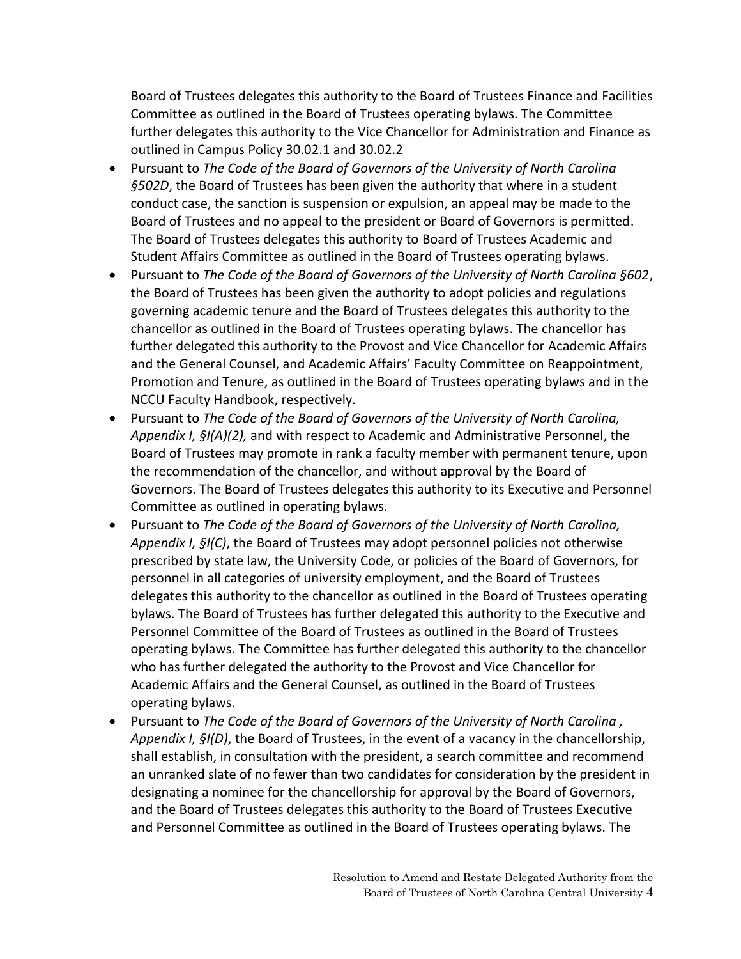Board of Trustees delegates this authority to the Board of Trustees Finance and Facilities Committee as outlined in the Board of Trustees operating bylaws. The Committee further delegates this authority to the Vice Chancellor for Administration and Finance as outlined in Campus Policy 30.02.1 and 30.02.2

- Pursuant to *The Code of the Board of Governors of the University of North Carolina §502D*, the Board of Trustees has been given the authority that where in a student conduct case, the sanction is suspension or expulsion, an appeal may be made to the Board of Trustees and no appeal to the president or Board of Governors is permitted. The Board of Trustees delegates this authority to Board of Trustees Academic and Student Affairs Committee as outlined in the Board of Trustees operating bylaws.
- Pursuant to *The Code of the Board of Governors of the University of North Carolina §602*, the Board of Trustees has been given the authority to adopt policies and regulations governing academic tenure and the Board of Trustees delegates this authority to the chancellor as outlined in the Board of Trustees operating bylaws. The chancellor has further delegated this authority to the Provost and Vice Chancellor for Academic Affairs and the General Counsel, and Academic Affairs' Faculty Committee on Reappointment, Promotion and Tenure, as outlined in the Board of Trustees operating bylaws and in the NCCU Faculty Handbook, respectively.
- Pursuant to *The Code of the Board of Governors of the University of North Carolina, Appendix I, §I(A)(2),* and with respect to Academic and Administrative Personnel, the Board of Trustees may promote in rank a faculty member with permanent tenure, upon the recommendation of the chancellor, and without approval by the Board of Governors. The Board of Trustees delegates this authority to its Executive and Personnel Committee as outlined in operating bylaws.
- Pursuant to *The Code of the Board of Governors of the University of North Carolina, Appendix I, §I(C)*, the Board of Trustees may adopt personnel policies not otherwise prescribed by state law, the University Code, or policies of the Board of Governors, for personnel in all categories of university employment, and the Board of Trustees delegates this authority to the chancellor as outlined in the Board of Trustees operating bylaws. The Board of Trustees has further delegated this authority to the Executive and Personnel Committee of the Board of Trustees as outlined in the Board of Trustees operating bylaws. The Committee has further delegated this authority to the chancellor who has further delegated the authority to the Provost and Vice Chancellor for Academic Affairs and the General Counsel, as outlined in the Board of Trustees operating bylaws.
- Pursuant to *The Code of the Board of Governors of the University of North Carolina , Appendix I, §I(D)*, the Board of Trustees, in the event of a vacancy in the chancellorship, shall establish, in consultation with the president, a search committee and recommend an unranked slate of no fewer than two candidates for consideration by the president in designating a nominee for the chancellorship for approval by the Board of Governors, and the Board of Trustees delegates this authority to the Board of Trustees Executive and Personnel Committee as outlined in the Board of Trustees operating bylaws. The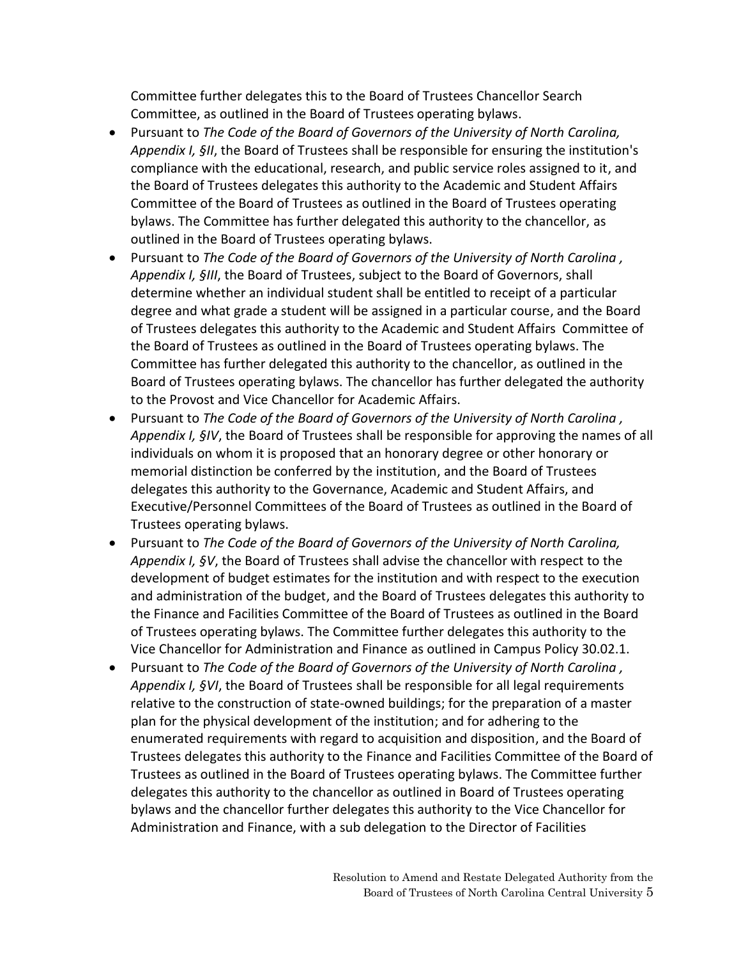Committee further delegates this to the Board of Trustees Chancellor Search Committee, as outlined in the Board of Trustees operating bylaws.

- Pursuant to *The Code of the Board of Governors of the University of North Carolina, Appendix I, §II*, the Board of Trustees shall be responsible for ensuring the institution's compliance with the educational, research, and public service roles assigned to it, and the Board of Trustees delegates this authority to the Academic and Student Affairs Committee of the Board of Trustees as outlined in the Board of Trustees operating bylaws. The Committee has further delegated this authority to the chancellor, as outlined in the Board of Trustees operating bylaws.
- Pursuant to *The Code of the Board of Governors of the University of North Carolina , Appendix I, §III*, the Board of Trustees, subject to the Board of Governors, shall determine whether an individual student shall be entitled to receipt of a particular degree and what grade a student will be assigned in a particular course, and the Board of Trustees delegates this authority to the Academic and Student Affairs Committee of the Board of Trustees as outlined in the Board of Trustees operating bylaws. The Committee has further delegated this authority to the chancellor, as outlined in the Board of Trustees operating bylaws. The chancellor has further delegated the authority to the Provost and Vice Chancellor for Academic Affairs.
- Pursuant to *The Code of the Board of Governors of the University of North Carolina , Appendix I, §IV*, the Board of Trustees shall be responsible for approving the names of all individuals on whom it is proposed that an honorary degree or other honorary or memorial distinction be conferred by the institution, and the Board of Trustees delegates this authority to the Governance, Academic and Student Affairs, and Executive/Personnel Committees of the Board of Trustees as outlined in the Board of Trustees operating bylaws.
- Pursuant to *The Code of the Board of Governors of the University of North Carolina, Appendix I, §V*, the Board of Trustees shall advise the chancellor with respect to the development of budget estimates for the institution and with respect to the execution and administration of the budget, and the Board of Trustees delegates this authority to the Finance and Facilities Committee of the Board of Trustees as outlined in the Board of Trustees operating bylaws. The Committee further delegates this authority to the Vice Chancellor for Administration and Finance as outlined in Campus Policy 30.02.1.
- Pursuant to *The Code of the Board of Governors of the University of North Carolina , Appendix I, §VI*, the Board of Trustees shall be responsible for all legal requirements relative to the construction of state-owned buildings; for the preparation of a master plan for the physical development of the institution; and for adhering to the enumerated requirements with regard to acquisition and disposition, and the Board of Trustees delegates this authority to the Finance and Facilities Committee of the Board of Trustees as outlined in the Board of Trustees operating bylaws. The Committee further delegates this authority to the chancellor as outlined in Board of Trustees operating bylaws and the chancellor further delegates this authority to the Vice Chancellor for Administration and Finance, with a sub delegation to the Director of Facilities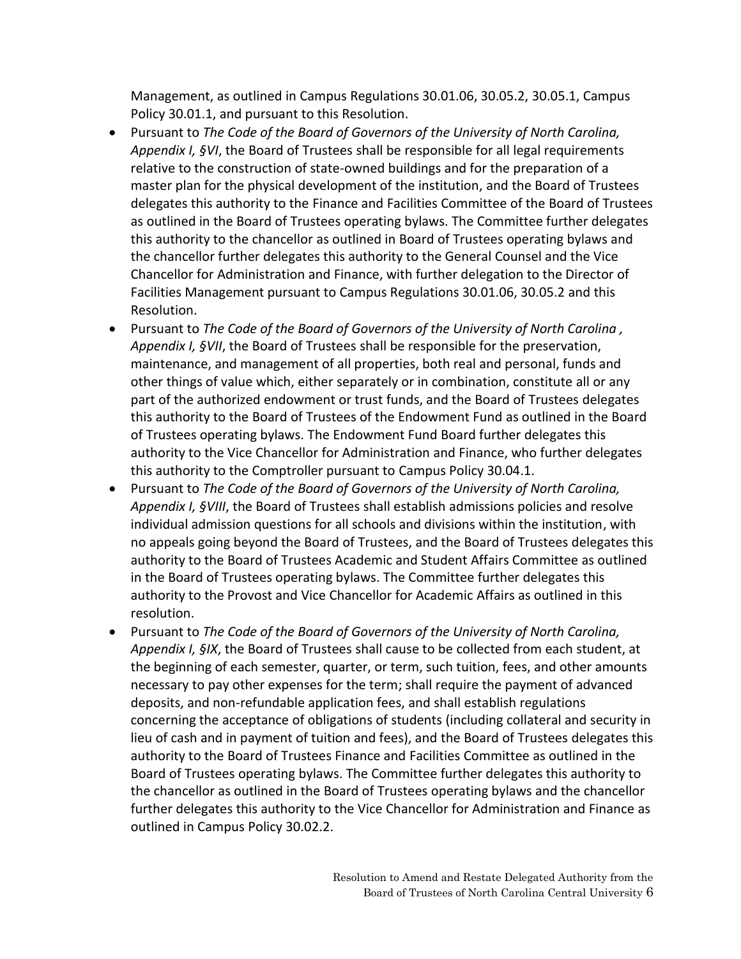Management, as outlined in Campus Regulations 30.01.06, 30.05.2, 30.05.1, Campus Policy 30.01.1, and pursuant to this Resolution.

- Pursuant to *The Code of the Board of Governors of the University of North Carolina, Appendix I, §VI*, the Board of Trustees shall be responsible for all legal requirements relative to the construction of state-owned buildings and for the preparation of a master plan for the physical development of the institution, and the Board of Trustees delegates this authority to the Finance and Facilities Committee of the Board of Trustees as outlined in the Board of Trustees operating bylaws. The Committee further delegates this authority to the chancellor as outlined in Board of Trustees operating bylaws and the chancellor further delegates this authority to the General Counsel and the Vice Chancellor for Administration and Finance, with further delegation to the Director of Facilities Management pursuant to Campus Regulations 30.01.06, 30.05.2 and this Resolution.
- Pursuant to *The Code of the Board of Governors of the University of North Carolina , Appendix I, §VII*, the Board of Trustees shall be responsible for the preservation, maintenance, and management of all properties, both real and personal, funds and other things of value which, either separately or in combination, constitute all or any part of the authorized endowment or trust funds, and the Board of Trustees delegates this authority to the Board of Trustees of the Endowment Fund as outlined in the Board of Trustees operating bylaws. The Endowment Fund Board further delegates this authority to the Vice Chancellor for Administration and Finance, who further delegates this authority to the Comptroller pursuant to Campus Policy 30.04.1.
- Pursuant to *The Code of the Board of Governors of the University of North Carolina, Appendix I, §VIII*, the Board of Trustees shall establish admissions policies and resolve individual admission questions for all schools and divisions within the institution, with no appeals going beyond the Board of Trustees, and the Board of Trustees delegates this authority to the Board of Trustees Academic and Student Affairs Committee as outlined in the Board of Trustees operating bylaws. The Committee further delegates this authority to the Provost and Vice Chancellor for Academic Affairs as outlined in this resolution.
- Pursuant to *The Code of the Board of Governors of the University of North Carolina, Appendix I, §IX*, the Board of Trustees shall cause to be collected from each student, at the beginning of each semester, quarter, or term, such tuition, fees, and other amounts necessary to pay other expenses for the term; shall require the payment of advanced deposits, and non-refundable application fees, and shall establish regulations concerning the acceptance of obligations of students (including collateral and security in lieu of cash and in payment of tuition and fees), and the Board of Trustees delegates this authority to the Board of Trustees Finance and Facilities Committee as outlined in the Board of Trustees operating bylaws. The Committee further delegates this authority to the chancellor as outlined in the Board of Trustees operating bylaws and the chancellor further delegates this authority to the Vice Chancellor for Administration and Finance as outlined in Campus Policy 30.02.2.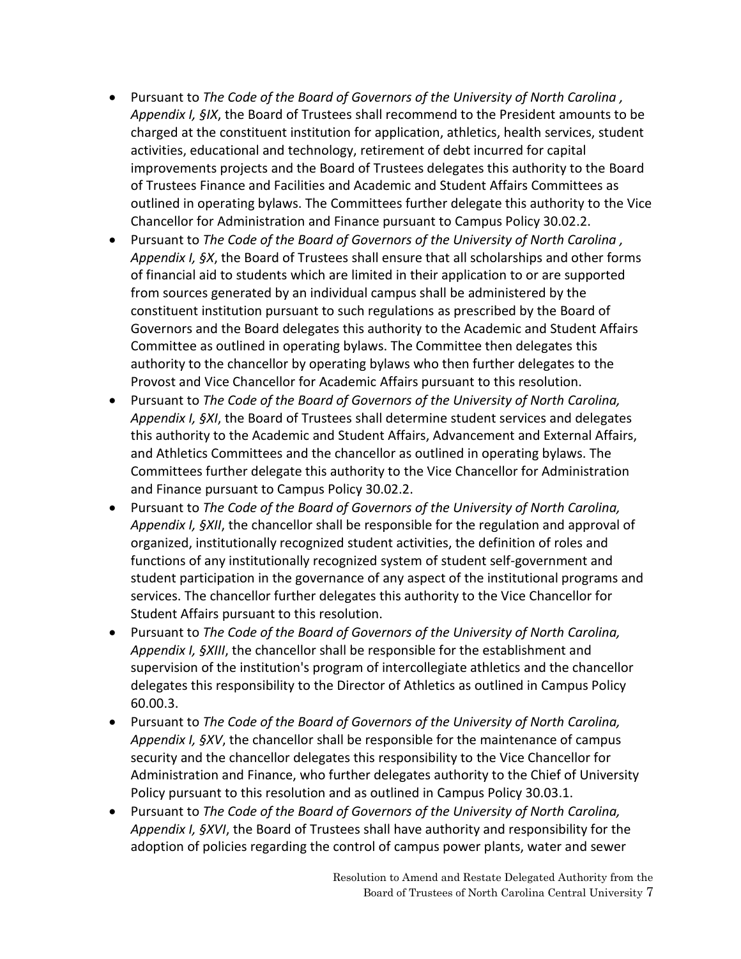- Pursuant to *The Code of the Board of Governors of the University of North Carolina , Appendix I, §IX*, the Board of Trustees shall recommend to the President amounts to be charged at the constituent institution for application, athletics, health services, student activities, educational and technology, retirement of debt incurred for capital improvements projects and the Board of Trustees delegates this authority to the Board of Trustees Finance and Facilities and Academic and Student Affairs Committees as outlined in operating bylaws. The Committees further delegate this authority to the Vice Chancellor for Administration and Finance pursuant to Campus Policy 30.02.2.
- Pursuant to *The Code of the Board of Governors of the University of North Carolina , Appendix I, §X*, the Board of Trustees shall ensure that all scholarships and other forms of financial aid to students which are limited in their application to or are supported from sources generated by an individual campus shall be administered by the constituent institution pursuant to such regulations as prescribed by the Board of Governors and the Board delegates this authority to the Academic and Student Affairs Committee as outlined in operating bylaws. The Committee then delegates this authority to the chancellor by operating bylaws who then further delegates to the Provost and Vice Chancellor for Academic Affairs pursuant to this resolution.
- Pursuant to *The Code of the Board of Governors of the University of North Carolina, Appendix I, §XI*, the Board of Trustees shall determine student services and delegates this authority to the Academic and Student Affairs, Advancement and External Affairs, and Athletics Committees and the chancellor as outlined in operating bylaws. The Committees further delegate this authority to the Vice Chancellor for Administration and Finance pursuant to Campus Policy 30.02.2.
- Pursuant to *The Code of the Board of Governors of the University of North Carolina, Appendix I, §XII*, the chancellor shall be responsible for the regulation and approval of organized, institutionally recognized student activities, the definition of roles and functions of any institutionally recognized system of student self-government and student participation in the governance of any aspect of the institutional programs and services. The chancellor further delegates this authority to the Vice Chancellor for Student Affairs pursuant to this resolution.
- Pursuant to *The Code of the Board of Governors of the University of North Carolina, Appendix I, §XIII*, the chancellor shall be responsible for the establishment and supervision of the institution's program of intercollegiate athletics and the chancellor delegates this responsibility to the Director of Athletics as outlined in Campus Policy 60.00.3.
- Pursuant to *The Code of the Board of Governors of the University of North Carolina, Appendix I, §XV*, the chancellor shall be responsible for the maintenance of campus security and the chancellor delegates this responsibility to the Vice Chancellor for Administration and Finance, who further delegates authority to the Chief of University Policy pursuant to this resolution and as outlined in Campus Policy 30.03.1.
- Pursuant to *The Code of the Board of Governors of the University of North Carolina, Appendix I, §XVI*, the Board of Trustees shall have authority and responsibility for the adoption of policies regarding the control of campus power plants, water and sewer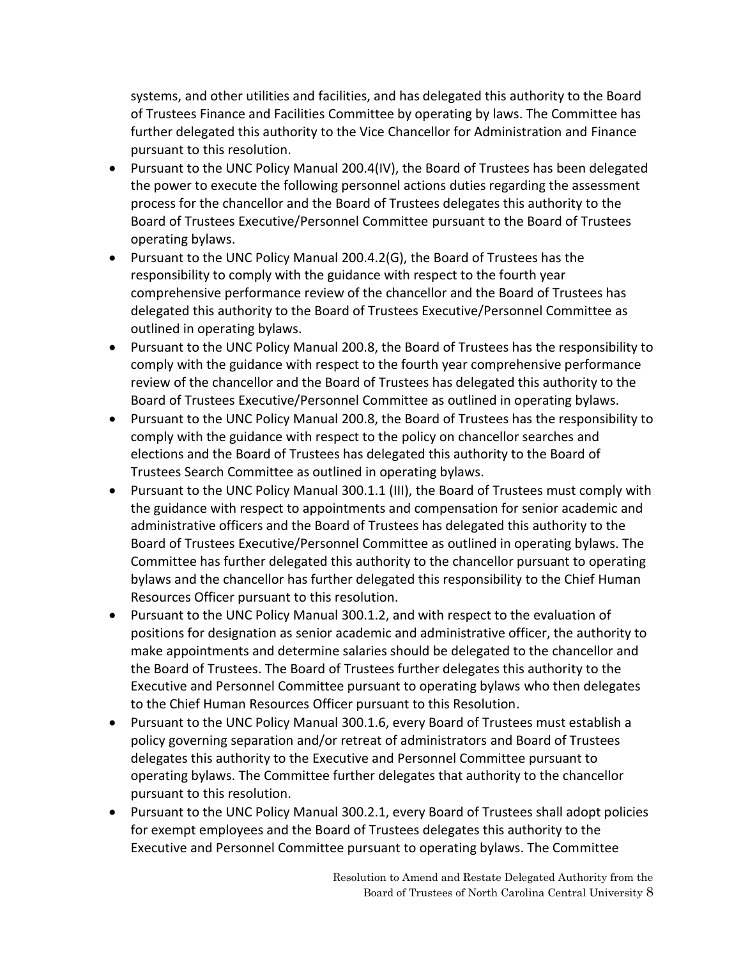systems, and other utilities and facilities, and has delegated this authority to the Board of Trustees Finance and Facilities Committee by operating by laws. The Committee has further delegated this authority to the Vice Chancellor for Administration and Finance pursuant to this resolution.

- Pursuant to the UNC Policy Manual 200.4(IV), the Board of Trustees has been delegated the power to execute the following personnel actions duties regarding the assessment process for the chancellor and the Board of Trustees delegates this authority to the Board of Trustees Executive/Personnel Committee pursuant to the Board of Trustees operating bylaws.
- Pursuant to the UNC Policy Manual 200.4.2(G), the Board of Trustees has the responsibility to comply with the guidance with respect to the fourth year comprehensive performance review of the chancellor and the Board of Trustees has delegated this authority to the Board of Trustees Executive/Personnel Committee as outlined in operating bylaws.
- Pursuant to the UNC Policy Manual 200.8, the Board of Trustees has the responsibility to comply with the guidance with respect to the fourth year comprehensive performance review of the chancellor and the Board of Trustees has delegated this authority to the Board of Trustees Executive/Personnel Committee as outlined in operating bylaws.
- Pursuant to the UNC Policy Manual 200.8, the Board of Trustees has the responsibility to comply with the guidance with respect to the policy on chancellor searches and elections and the Board of Trustees has delegated this authority to the Board of Trustees Search Committee as outlined in operating bylaws.
- Pursuant to the UNC Policy Manual 300.1.1 (III), the Board of Trustees must comply with the guidance with respect to appointments and compensation for senior academic and administrative officers and the Board of Trustees has delegated this authority to the Board of Trustees Executive/Personnel Committee as outlined in operating bylaws. The Committee has further delegated this authority to the chancellor pursuant to operating bylaws and the chancellor has further delegated this responsibility to the Chief Human Resources Officer pursuant to this resolution.
- Pursuant to the UNC Policy Manual 300.1.2, and with respect to the evaluation of positions for designation as senior academic and administrative officer, the authority to make appointments and determine salaries should be delegated to the chancellor and the Board of Trustees. The Board of Trustees further delegates this authority to the Executive and Personnel Committee pursuant to operating bylaws who then delegates to the Chief Human Resources Officer pursuant to this Resolution.
- Pursuant to the UNC Policy Manual 300.1.6, every Board of Trustees must establish a policy governing separation and/or retreat of administrators and Board of Trustees delegates this authority to the Executive and Personnel Committee pursuant to operating bylaws. The Committee further delegates that authority to the chancellor pursuant to this resolution.
- Pursuant to the UNC Policy Manual 300.2.1, every Board of Trustees shall adopt policies for exempt employees and the Board of Trustees delegates this authority to the Executive and Personnel Committee pursuant to operating bylaws. The Committee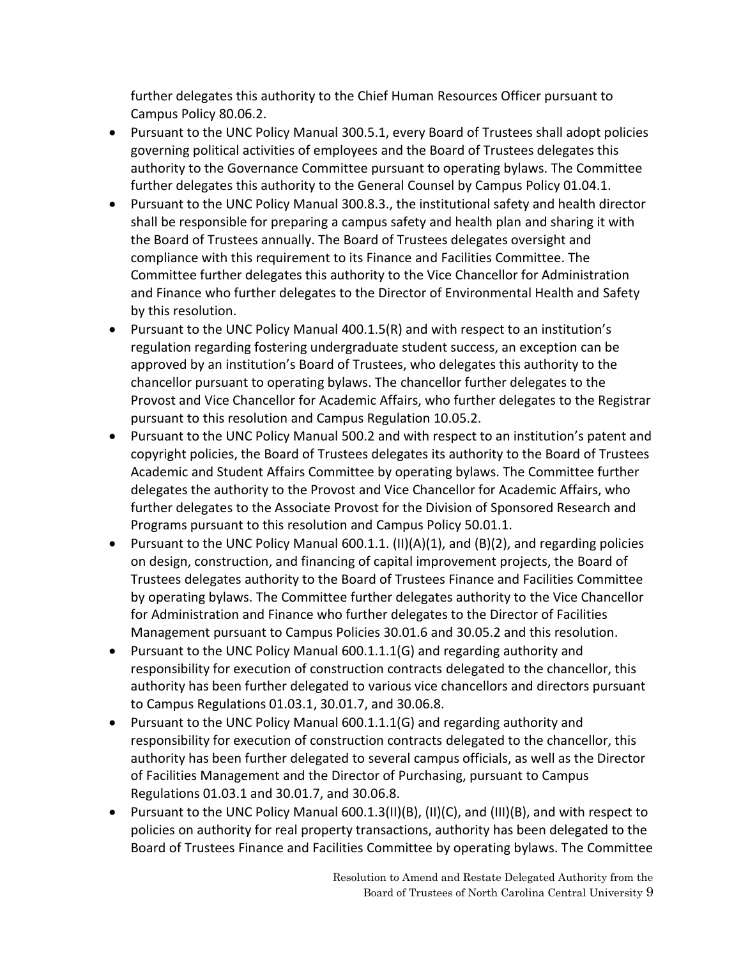further delegates this authority to the Chief Human Resources Officer pursuant to Campus Policy 80.06.2.

- Pursuant to the UNC Policy Manual 300.5.1, every Board of Trustees shall adopt policies governing political activities of employees and the Board of Trustees delegates this authority to the Governance Committee pursuant to operating bylaws. The Committee further delegates this authority to the General Counsel by Campus Policy 01.04.1.
- Pursuant to the UNC Policy Manual 300.8.3., the institutional safety and health director shall be responsible for preparing a campus safety and health plan and sharing it with the Board of Trustees annually. The Board of Trustees delegates oversight and compliance with this requirement to its Finance and Facilities Committee. The Committee further delegates this authority to the Vice Chancellor for Administration and Finance who further delegates to the Director of Environmental Health and Safety by this resolution.
- Pursuant to the UNC Policy Manual 400.1.5(R) and with respect to an institution's regulation regarding fostering undergraduate student success, an exception can be approved by an institution's Board of Trustees, who delegates this authority to the chancellor pursuant to operating bylaws. The chancellor further delegates to the Provost and Vice Chancellor for Academic Affairs, who further delegates to the Registrar pursuant to this resolution and Campus Regulation 10.05.2.
- Pursuant to the UNC Policy Manual 500.2 and with respect to an institution's patent and copyright policies, the Board of Trustees delegates its authority to the Board of Trustees Academic and Student Affairs Committee by operating bylaws. The Committee further delegates the authority to the Provost and Vice Chancellor for Academic Affairs, who further delegates to the Associate Provost for the Division of Sponsored Research and Programs pursuant to this resolution and Campus Policy 50.01.1.
- **•** Pursuant to the UNC Policy Manual 600.1.1. (II)(A)(1), and (B)(2), and regarding policies on design, construction, and financing of capital improvement projects, the Board of Trustees delegates authority to the Board of Trustees Finance and Facilities Committee by operating bylaws. The Committee further delegates authority to the Vice Chancellor for Administration and Finance who further delegates to the Director of Facilities Management pursuant to Campus Policies 30.01.6 and 30.05.2 and this resolution.
- Pursuant to the UNC Policy Manual 600.1.1.1(G) and regarding authority and responsibility for execution of construction contracts delegated to the chancellor, this authority has been further delegated to various vice chancellors and directors pursuant to Campus Regulations 01.03.1, 30.01.7, and 30.06.8.
- Pursuant to the UNC Policy Manual 600.1.1.1(G) and regarding authority and responsibility for execution of construction contracts delegated to the chancellor, this authority has been further delegated to several campus officials, as well as the Director of Facilities Management and the Director of Purchasing, pursuant to Campus Regulations 01.03.1 and 30.01.7, and 30.06.8.
- Pursuant to the UNC Policy Manual 600.1.3(II)(B), (II)(C), and (III)(B), and with respect to policies on authority for real property transactions, authority has been delegated to the Board of Trustees Finance and Facilities Committee by operating bylaws. The Committee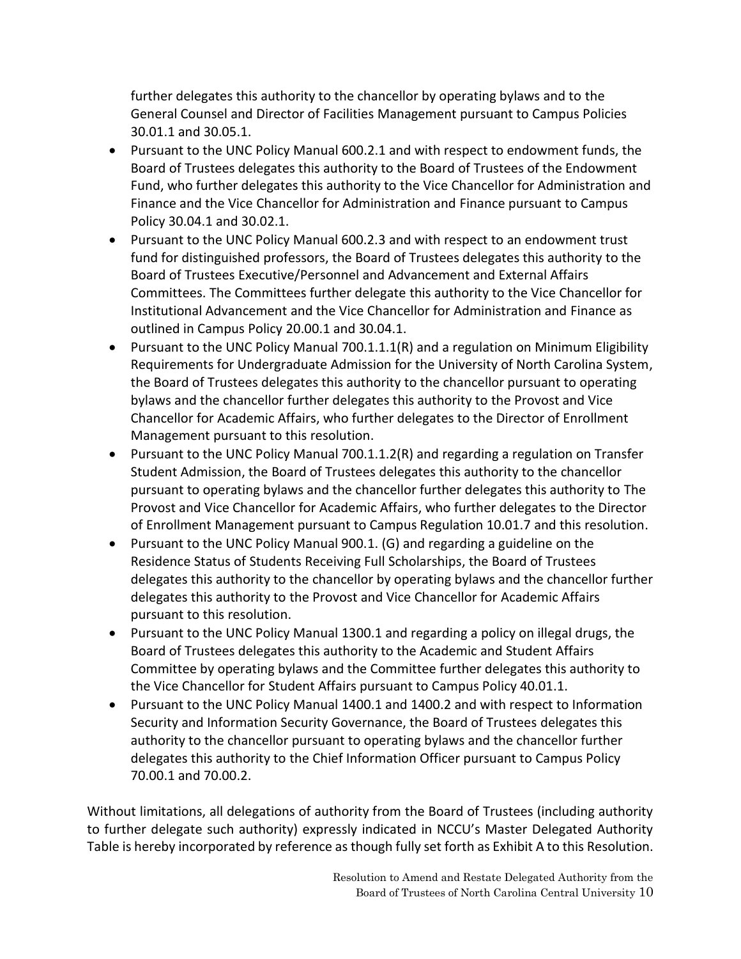further delegates this authority to the chancellor by operating bylaws and to the General Counsel and Director of Facilities Management pursuant to Campus Policies 30.01.1 and 30.05.1.

- Pursuant to the UNC Policy Manual 600.2.1 and with respect to endowment funds, the Board of Trustees delegates this authority to the Board of Trustees of the Endowment Fund, who further delegates this authority to the Vice Chancellor for Administration and Finance and the Vice Chancellor for Administration and Finance pursuant to Campus Policy 30.04.1 and 30.02.1.
- Pursuant to the UNC Policy Manual 600.2.3 and with respect to an endowment trust fund for distinguished professors, the Board of Trustees delegates this authority to the Board of Trustees Executive/Personnel and Advancement and External Affairs Committees. The Committees further delegate this authority to the Vice Chancellor for Institutional Advancement and the Vice Chancellor for Administration and Finance as outlined in Campus Policy 20.00.1 and 30.04.1.
- Pursuant to the UNC Policy Manual 700.1.1.1(R) and a regulation on Minimum Eligibility Requirements for Undergraduate Admission for the University of North Carolina System, the Board of Trustees delegates this authority to the chancellor pursuant to operating bylaws and the chancellor further delegates this authority to the Provost and Vice Chancellor for Academic Affairs, who further delegates to the Director of Enrollment Management pursuant to this resolution.
- Pursuant to the UNC Policy Manual 700.1.1.2(R) and regarding a regulation on Transfer Student Admission, the Board of Trustees delegates this authority to the chancellor pursuant to operating bylaws and the chancellor further delegates this authority to The Provost and Vice Chancellor for Academic Affairs, who further delegates to the Director of Enrollment Management pursuant to Campus Regulation 10.01.7 and this resolution.
- Pursuant to the UNC Policy Manual 900.1. (G) and regarding a guideline on the Residence Status of Students Receiving Full Scholarships, the Board of Trustees delegates this authority to the chancellor by operating bylaws and the chancellor further delegates this authority to the Provost and Vice Chancellor for Academic Affairs pursuant to this resolution.
- Pursuant to the UNC Policy Manual 1300.1 and regarding a policy on illegal drugs, the Board of Trustees delegates this authority to the Academic and Student Affairs Committee by operating bylaws and the Committee further delegates this authority to the Vice Chancellor for Student Affairs pursuant to Campus Policy 40.01.1.
- Pursuant to the UNC Policy Manual 1400.1 and 1400.2 and with respect to Information Security and Information Security Governance, the Board of Trustees delegates this authority to the chancellor pursuant to operating bylaws and the chancellor further delegates this authority to the Chief Information Officer pursuant to Campus Policy 70.00.1 and 70.00.2.

Without limitations, all delegations of authority from the Board of Trustees (including authority to further delegate such authority) expressly indicated in NCCU's Master Delegated Authority Table is hereby incorporated by reference as though fully set forth as Exhibit A to this Resolution.